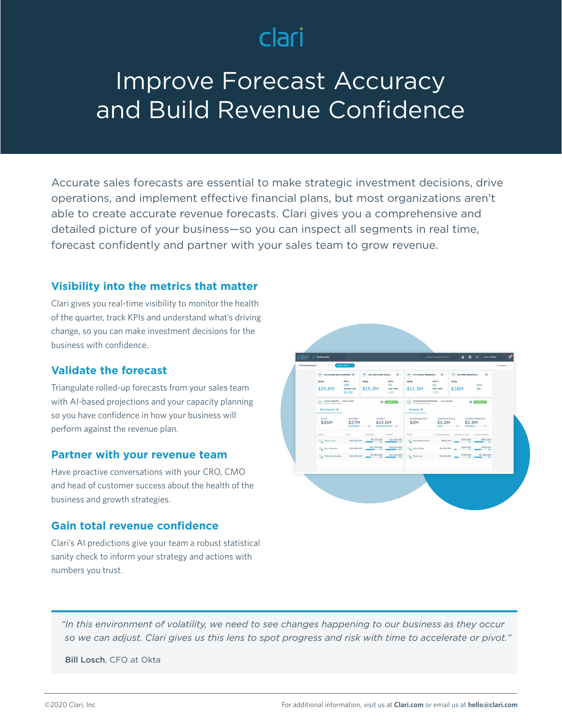# clari

# Improve Forecast Accuracy and Build Revenue Confidence

Accurate sales forecasts are essential to make strategic investment decisions, drive operations, and implement effective financial plans, but most organizations aren't able to create accurate revenue forecasts. Clari gives you a comprehensive and detailed picture of your business—so you can inspect all segments in real time, forecast confidently and partner with your sales team to grow revenue.

#### **Visibility into the metrics that matter**

Clari gives you real-time visibility to monitor the health of the quarter, track KPIs and understand what's driving change, so you can make investment decisions for the business with confidence.

### **Validate the forecast**

Triangulate rolled-up forecasts from your sales team with AI-based projections and your capacity planning so you have confidence in how your business will perform against the revenue plan.

#### **Partner with your revenue team**

Have proactive conversations with your CRO, CMO and head of customer success about the health of the business and growth strategies.

#### **Gain total revenue confidence**

Clari's AI predictions give your team a robust statistical sanity check to inform your strategy and actions with numbers you trust.



*"In this environment of volatility, we need to see changes happening to our business as they occur so we can adjust. Clari gives us this lens to spot progress and risk with time to accelerate or pivot."*

Bill Losch, CFO at Okta